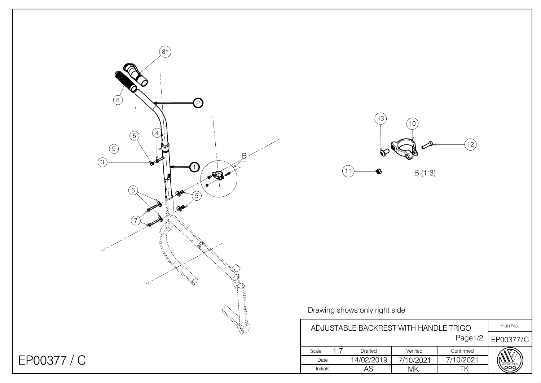



## Drawing shows only right side

 $(11)$ 

| ADJUSTABLE BACKREST WITH HANDLE TRIGO |     |            |           |           | Plan No. |
|---------------------------------------|-----|------------|-----------|-----------|----------|
| Page1/2                               |     |            |           | EP00377/C |          |
| Scale:                                | 1.7 | Drafted    | Verified  | Confirmed |          |
| Date                                  |     | 14/02/2019 | 7/10/2021 | 7/10/2021 |          |
| <b>Initials</b>                       |     |            |           |           |          |